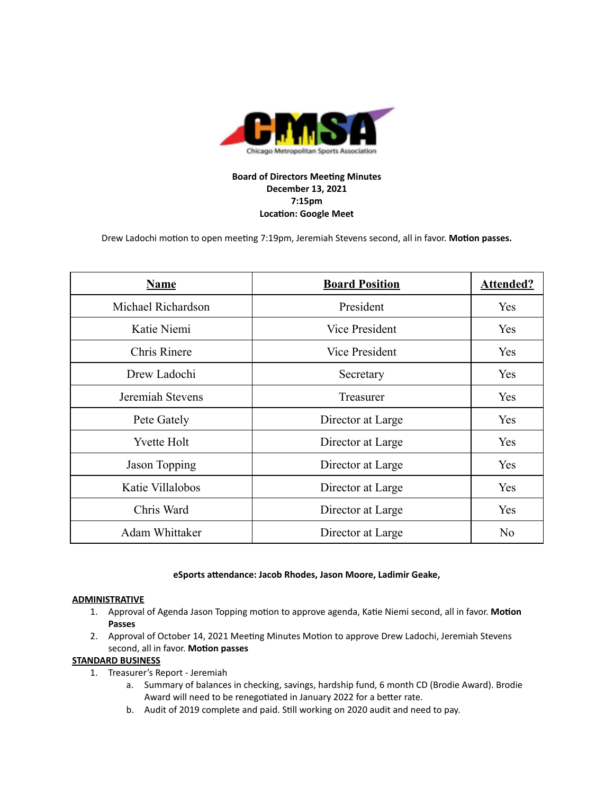

# **Board of Directors Meeting Minutes December 13, 2021 7:15pm Location: Google Meet**

Drew Ladochi motion to open meeting 7:19pm, Jeremiah Stevens second, all in favor. Motion passes.

| <b>Name</b>         | <b>Board Position</b> | <b>Attended?</b> |
|---------------------|-----------------------|------------------|
| Michael Richardson  | President             | Yes              |
| Katie Niemi         | <b>Vice President</b> | Yes              |
| <b>Chris Rinere</b> | <b>Vice President</b> | Yes              |
| Drew Ladochi        | Secretary             | Yes              |
| Jeremiah Stevens    | Treasurer             | Yes              |
| Pete Gately         | Director at Large     | Yes              |
| <b>Yvette Holt</b>  | Director at Large     | Yes              |
| Jason Topping       | Director at Large     | Yes              |
| Katie Villalobos    | Director at Large     | Yes              |
| Chris Ward          | Director at Large     | Yes              |
| Adam Whittaker      | Director at Large     | N <sub>o</sub>   |

## **eSports** attendance: Jacob Rhodes, Jason Moore, Ladimir Geake,

## **ADMINISTRATIVE**

- 1. Approval of Agenda Jason Topping motion to approve agenda, Katie Niemi second, all in favor. Motion **Passes**
- 2. Approval of October 14, 2021 Meeting Minutes Motion to approve Drew Ladochi, Jeremiah Stevens second, all in favor. Motion passes

## **STANDARD BUSINESS**

- 1. Treasurer's Report Jeremiah
	- a. Summary of balances in checking, savings, hardship fund, 6 month CD (Brodie Award). Brodie Award will need to be renegotiated in January 2022 for a better rate.
	- b. Audit of 2019 complete and paid. Still working on 2020 audit and need to pay.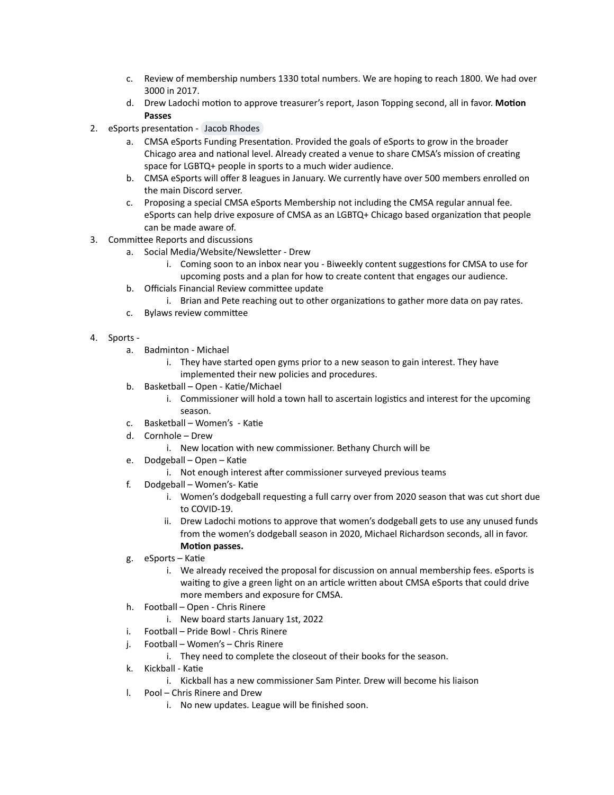- c. Review of membership numbers 1330 total numbers. We are hoping to reach 1800. We had over 3000 in 2017.
- d. Drew Ladochi motion to approve treasurer's report, Jason Topping second, all in favor. Motion **Passes**
- 2. eSports presentation Jacob [Rhodes](mailto:jake.j.rhodes@gmail.com)
	- a. CMSA eSports Funding Presentation. Provided the goals of eSports to grow in the broader Chicago area and national level. Already created a venue to share CMSA's mission of creating space for LGBTQ+ people in sports to a much wider audience.
	- b. CMSA eSports will offer 8 leagues in January. We currently have over 500 members enrolled on the main Discord server.
	- c. Proposing a special CMSA eSports Membership not including the CMSA regular annual fee. eSports can help drive exposure of CMSA as an LGBTQ+ Chicago based organization that people can be made aware of.
- 3. Committee Reports and discussions
	- a. Social Media/Website/Newsletter Drew
		- i. Coming soon to an inbox near you Biweekly content suggestions for CMSA to use for upcoming posts and a plan for how to create content that engages our audience.
	- b. Officials Financial Review committee update
		- i. Brian and Pete reaching out to other organizations to gather more data on pay rates.
	- c. Bylaws review committee
- 4. Sports
	- a. Badminton Michael
		- i. They have started open gyms prior to a new season to gain interest. They have implemented their new policies and procedures.
	- b. Basketball Open Katie/Michael
		- i. Commissioner will hold a town hall to ascertain logistics and interest for the upcoming season.
	- c. Basketball Women's Katie
	- d. Cornhole Drew
		- i. New location with new commissioner. Bethany Church will be
	- e. Dodgeball Open Katie
		- i. Not enough interest after commissioner surveyed previous teams
	- f. Dodgeball Women's- Katie
		- i. Women's dodgeball requesting a full carry over from 2020 season that was cut short due to COVID-19.
		- ii. Drew Ladochi motions to approve that women's dodgeball gets to use any unused funds from the women's dodgeball season in 2020, Michael Richardson seconds, all in favor. **Motion** passes.
	- g. eSports Katie
		- i. We already received the proposal for discussion on annual membership fees. eSports is waiting to give a green light on an article written about CMSA eSports that could drive more members and exposure for CMSA.
	- h. Football Open Chris Rinere
		- i. New board starts January 1st, 2022
	- i. Football Pride Bowl Chris Rinere
	- j. Football Women's Chris Rinere
		- i. They need to complete the closeout of their books for the season.
	- k. Kickball Katie
		- i. Kickball has a new commissioner Sam Pinter. Drew will become his liaison
	- l. Pool Chris Rinere and Drew
		- i. No new updates. League will be finished soon.